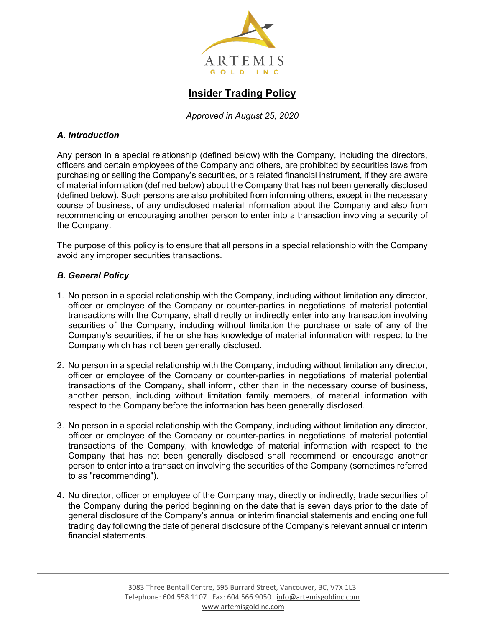

# **Insider Trading Policy**

*Approved in August 25, 2020*

# *A. Introduction*

Any person in a special relationship (defined below) with the Company, including the directors, officers and certain employees of the Company and others, are prohibited by securities laws from purchasing or selling the Company's securities, or a related financial instrument, if they are aware of material information (defined below) about the Company that has not been generally disclosed (defined below). Such persons are also prohibited from informing others, except in the necessary course of business, of any undisclosed material information about the Company and also from recommending or encouraging another person to enter into a transaction involving a security of the Company.

The purpose of this policy is to ensure that all persons in a special relationship with the Company avoid any improper securities transactions.

## *B. General Policy*

- 1. No person in a special relationship with the Company, including without limitation any director, officer or employee of the Company or counter-parties in negotiations of material potential transactions with the Company, shall directly or indirectly enter into any transaction involving securities of the Company, including without limitation the purchase or sale of any of the Company's securities, if he or she has knowledge of material information with respect to the Company which has not been generally disclosed.
- 2. No person in a special relationship with the Company, including without limitation any director, officer or employee of the Company or counter-parties in negotiations of material potential transactions of the Company, shall inform, other than in the necessary course of business, another person, including without limitation family members, of material information with respect to the Company before the information has been generally disclosed.
- 3. No person in a special relationship with the Company, including without limitation any director, officer or employee of the Company or counter-parties in negotiations of material potential transactions of the Company, with knowledge of material information with respect to the Company that has not been generally disclosed shall recommend or encourage another person to enter into a transaction involving the securities of the Company (sometimes referred to as "recommending").
- 4. No director, officer or employee of the Company may, directly or indirectly, trade securities of the Company during the period beginning on the date that is seven days prior to the date of general disclosure of the Company's annual or interim financial statements and ending one full trading day following the date of general disclosure of the Company's relevant annual or interim financial statements.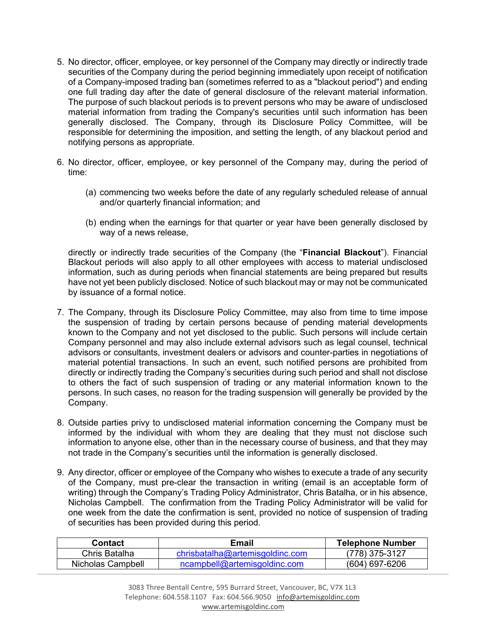- 5. No director, officer, employee, or key personnel of the Company may directly or indirectly trade securities of the Company during the period beginning immediately upon receipt of notification of a Company-imposed trading ban (sometimes referred to as a "blackout period") and ending one full trading day after the date of general disclosure of the relevant material information. The purpose of such blackout periods is to prevent persons who may be aware of undisclosed material information from trading the Company's securities until such information has been generally disclosed. The Company, through its Disclosure Policy Committee, will be responsible for determining the imposition, and setting the length, of any blackout period and notifying persons as appropriate.
- 6. No director, officer, employee, or key personnel of the Company may, during the period of time:
	- (a) commencing two weeks before the date of any regularly scheduled release of annual and/or quarterly financial information; and
	- (b) ending when the earnings for that quarter or year have been generally disclosed by way of a news release,

directly or indirectly trade securities of the Company (the "**Financial Blackout**"). Financial Blackout periods will also apply to all other employees with access to material undisclosed information, such as during periods when financial statements are being prepared but results have not yet been publicly disclosed. Notice of such blackout may or may not be communicated by issuance of a formal notice.

- 7. The Company, through its Disclosure Policy Committee, may also from time to time impose the suspension of trading by certain persons because of pending material developments known to the Company and not yet disclosed to the public. Such persons will include certain Company personnel and may also include external advisors such as legal counsel, technical advisors or consultants, investment dealers or advisors and counter-parties in negotiations of material potential transactions. In such an event, such notified persons are prohibited from directly or indirectly trading the Company's securities during such period and shall not disclose to others the fact of such suspension of trading or any material information known to the persons. In such cases, no reason for the trading suspension will generally be provided by the Company.
- 8. Outside parties privy to undisclosed material information concerning the Company must be informed by the individual with whom they are dealing that they must not disclose such information to anyone else, other than in the necessary course of business, and that they may not trade in the Company's securities until the information is generally disclosed.
- 9. Any director, officer or employee of the Company who wishes to execute a trade of any security of the Company, must pre-clear the transaction in writing (email is an acceptable form of writing) through the Company's Trading Policy Administrator, Chris Batalha, or in his absence, Nicholas Campbell. The confirmation from the Trading Policy Administrator will be valid for one week from the date the confirmation is sent, provided no notice of suspension of trading of securities has been provided during this period.

| Contact           | Email                           | <b>Telephone Number</b> |
|-------------------|---------------------------------|-------------------------|
| Chris Batalha     | chrisbatalha@artemisgoldinc.com | (778) 375-3127          |
| Nicholas Campbell | ncampbell@artemisgoldinc.com    | $(604)$ 697-6206        |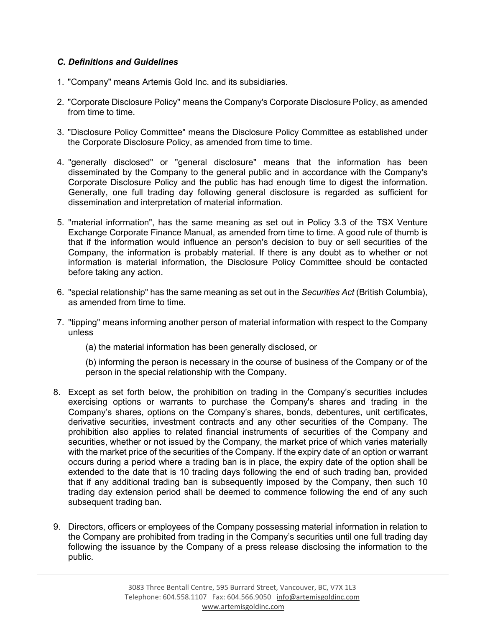# *C. Definitions and Guidelines*

- 1. "Company" means Artemis Gold Inc. and its subsidiaries.
- 2. "Corporate Disclosure Policy" means the Company's Corporate Disclosure Policy, as amended from time to time.
- 3. "Disclosure Policy Committee" means the Disclosure Policy Committee as established under the Corporate Disclosure Policy, as amended from time to time.
- 4. "generally disclosed" or "general disclosure" means that the information has been disseminated by the Company to the general public and in accordance with the Company's Corporate Disclosure Policy and the public has had enough time to digest the information. Generally, one full trading day following general disclosure is regarded as sufficient for dissemination and interpretation of material information.
- 5. "material information", has the same meaning as set out in Policy 3.3 of the TSX Venture Exchange Corporate Finance Manual, as amended from time to time. A good rule of thumb is that if the information would influence an person's decision to buy or sell securities of the Company, the information is probably material. If there is any doubt as to whether or not information is material information, the Disclosure Policy Committee should be contacted before taking any action.
- 6. "special relationship" has the same meaning as set out in the *Securities Act* (British Columbia), as amended from time to time.
- 7. "tipping" means informing another person of material information with respect to the Company unless
	- (a) the material information has been generally disclosed, or
	- (b) informing the person is necessary in the course of business of the Company or of the person in the special relationship with the Company.
- 8. Except as set forth below, the prohibition on trading in the Company's securities includes exercising options or warrants to purchase the Company's shares and trading in the Company's shares, options on the Company's shares, bonds, debentures, unit certificates, derivative securities, investment contracts and any other securities of the Company. The prohibition also applies to related financial instruments of securities of the Company and securities, whether or not issued by the Company, the market price of which varies materially with the market price of the securities of the Company. If the expiry date of an option or warrant occurs during a period where a trading ban is in place, the expiry date of the option shall be extended to the date that is 10 trading days following the end of such trading ban, provided that if any additional trading ban is subsequently imposed by the Company, then such 10 trading day extension period shall be deemed to commence following the end of any such subsequent trading ban.
- 9. Directors, officers or employees of the Company possessing material information in relation to the Company are prohibited from trading in the Company's securities until one full trading day following the issuance by the Company of a press release disclosing the information to the public.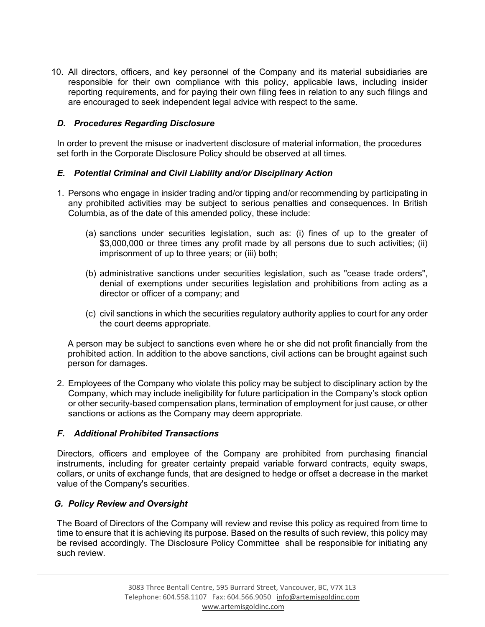10. All directors, officers, and key personnel of the Company and its material subsidiaries are responsible for their own compliance with this policy, applicable laws, including insider reporting requirements, and for paying their own filing fees in relation to any such filings and are encouraged to seek independent legal advice with respect to the same.

# *D. Procedures Regarding Disclosure*

In order to prevent the misuse or inadvertent disclosure of material information, the procedures set forth in the Corporate Disclosure Policy should be observed at all times.

## *E. Potential Criminal and Civil Liability and/or Disciplinary Action*

- 1. Persons who engage in insider trading and/or tipping and/or recommending by participating in any prohibited activities may be subject to serious penalties and consequences. In British Columbia, as of the date of this amended policy, these include:
	- (a) sanctions under securities legislation, such as: (i) fines of up to the greater of \$3,000,000 or three times any profit made by all persons due to such activities; (ii) imprisonment of up to three years; or (iii) both;
	- (b) administrative sanctions under securities legislation, such as "cease trade orders", denial of exemptions under securities legislation and prohibitions from acting as a director or officer of a company; and
	- (c) civil sanctions in which the securities regulatory authority applies to court for any order the court deems appropriate.

A person may be subject to sanctions even where he or she did not profit financially from the prohibited action. In addition to the above sanctions, civil actions can be brought against such person for damages.

2. Employees of the Company who violate this policy may be subject to disciplinary action by the Company, which may include ineligibility for future participation in the Company's stock option or other security-based compensation plans, termination of employment for just cause, or other sanctions or actions as the Company may deem appropriate.

## *F. Additional Prohibited Transactions*

Directors, officers and employee of the Company are prohibited from purchasing financial instruments, including for greater certainty prepaid variable forward contracts, equity swaps, collars, or units of exchange funds, that are designed to hedge or offset a decrease in the market value of the Company's securities.

## *G. Policy Review and Oversight*

The Board of Directors of the Company will review and revise this policy as required from time to time to ensure that it is achieving its purpose. Based on the results of such review, this policy may be revised accordingly. The Disclosure Policy Committee shall be responsible for initiating any such review.